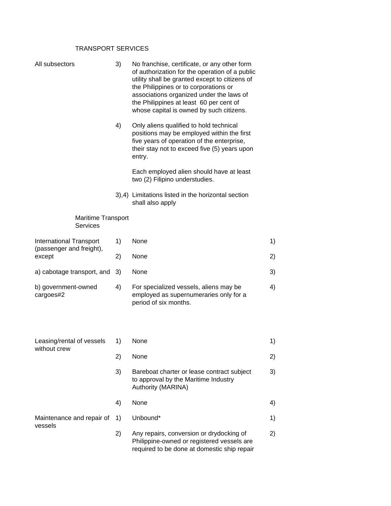## TRANSPORT SERVICES

| All subsectors                        | 3) | No franchise, certificate, or any other form<br>of authorization for the operation of a public<br>utility shall be granted except to citizens of<br>the Philippines or to corporations or<br>associations organized under the laws of<br>the Philippines at least 60 per cent of<br>whose capital is owned by such citizens. |    |
|---------------------------------------|----|------------------------------------------------------------------------------------------------------------------------------------------------------------------------------------------------------------------------------------------------------------------------------------------------------------------------------|----|
|                                       | 4) | Only aliens qualified to hold technical<br>positions may be employed within the first<br>five years of operation of the enterprise,<br>their stay not to exceed five (5) years upon<br>entry.                                                                                                                                |    |
|                                       |    | Each employed alien should have at least<br>two (2) Filipino understudies.                                                                                                                                                                                                                                                   |    |
|                                       |    | 3),4) Limitations listed in the horizontal section<br>shall also apply                                                                                                                                                                                                                                                       |    |
| Maritime Transport<br><b>Services</b> |    |                                                                                                                                                                                                                                                                                                                              |    |
| <b>International Transport</b>        | 1) | None                                                                                                                                                                                                                                                                                                                         | 1) |
| (passenger and freight),<br>except    | 2) | None                                                                                                                                                                                                                                                                                                                         | 2) |
| a) cabotage transport, and            | 3) | None                                                                                                                                                                                                                                                                                                                         | 3) |
| b) government-owned<br>cargoes#2      | 4) | For specialized vessels, aliens may be<br>employed as supernumeraries only for a<br>period of six months.                                                                                                                                                                                                                    | 4) |
| Leasing/rental of vessels             |    |                                                                                                                                                                                                                                                                                                                              |    |
| without crew                          | 1) | None                                                                                                                                                                                                                                                                                                                         | 1) |
|                                       | 2) | None                                                                                                                                                                                                                                                                                                                         | 2) |
|                                       | 3) | Bareboat charter or lease contract subject<br>to approval by the Maritime Industry<br>Authority (MARINA)                                                                                                                                                                                                                     | 3) |
|                                       | 4) | None                                                                                                                                                                                                                                                                                                                         | 4) |
| Maintenance and repair of<br>vessels  | 1) | Unbound*                                                                                                                                                                                                                                                                                                                     | 1) |
|                                       | 2) | Any repairs, conversion or drydocking of<br>Philippine-owned or registered vessels are<br>required to be done at domestic ship repair                                                                                                                                                                                        | 2) |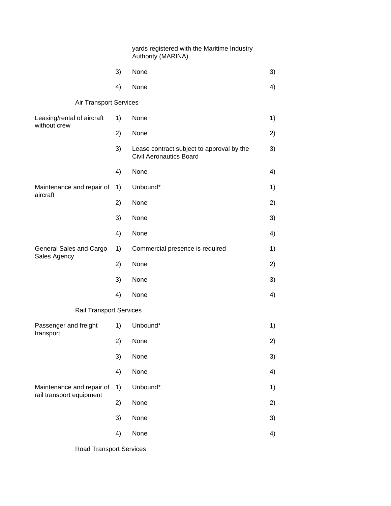|                                                       |    | yards registered with the Maritime Industry<br>Authority (MARINA)           |    |
|-------------------------------------------------------|----|-----------------------------------------------------------------------------|----|
|                                                       | 3) | None                                                                        | 3) |
|                                                       | 4) | None                                                                        | 4) |
| <b>Air Transport Services</b>                         |    |                                                                             |    |
| Leasing/rental of aircraft<br>without crew            | 1) | None                                                                        | 1) |
|                                                       | 2) | None                                                                        | 2) |
|                                                       | 3) | Lease contract subject to approval by the<br><b>Civil Aeronautics Board</b> | 3) |
|                                                       | 4) | None                                                                        | 4) |
| Maintenance and repair of<br>aircraft                 | 1) | Unbound*                                                                    | 1) |
|                                                       | 2) | None                                                                        | 2) |
|                                                       | 3) | None                                                                        | 3) |
|                                                       | 4) | None                                                                        | 4) |
| General Sales and Cargo<br>Sales Agency               | 1) | Commercial presence is required                                             | 1) |
|                                                       | 2) | None                                                                        | 2) |
|                                                       | 3) | None                                                                        | 3) |
|                                                       | 4) | None                                                                        | 4) |
| Rail Transport Services                               |    |                                                                             |    |
| Passenger and freight<br>transport                    | 1) | Unbound*                                                                    | 1) |
|                                                       | 2) | None                                                                        | 2) |
|                                                       | 3) | None                                                                        | 3) |
|                                                       | 4) | None                                                                        | 4) |
| Maintenance and repair of<br>rail transport equipment | 1) | Unbound*                                                                    | 1) |
|                                                       | 2) | None                                                                        | 2) |
|                                                       | 3) | None                                                                        | 3) |
|                                                       | 4) | None                                                                        | 4) |

Road Transport Services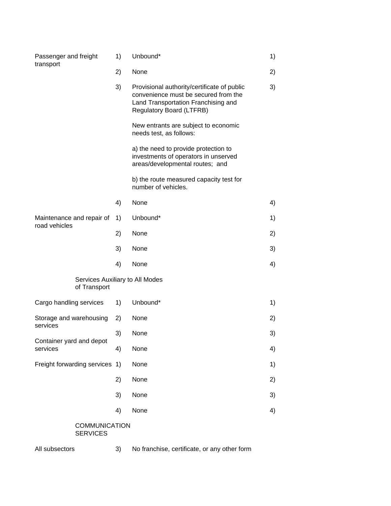| Passenger and freight<br>transport              | 1) | Unbound*                                                                                                                                               | 1) |
|-------------------------------------------------|----|--------------------------------------------------------------------------------------------------------------------------------------------------------|----|
|                                                 | 2) | None                                                                                                                                                   | 2) |
|                                                 | 3) | Provisional authority/certificate of public<br>convenience must be secured from the<br>Land Transportation Franchising and<br>Regulatory Board (LTFRB) | 3) |
|                                                 |    | New entrants are subject to economic<br>needs test, as follows:                                                                                        |    |
|                                                 |    | a) the need to provide protection to<br>investments of operators in unserved<br>areas/developmental routes; and                                        |    |
|                                                 |    | b) the route measured capacity test for<br>number of vehicles.                                                                                         |    |
|                                                 | 4) | None                                                                                                                                                   | 4) |
| Maintenance and repair of                       | 1) | Unbound*                                                                                                                                               | 1) |
| road vehicles                                   | 2) | None                                                                                                                                                   | 2) |
|                                                 | 3) | None                                                                                                                                                   | 3) |
|                                                 | 4) | None                                                                                                                                                   | 4) |
| Services Auxiliary to All Modes<br>of Transport |    |                                                                                                                                                        |    |
| Cargo handling services                         | 1) | Unbound*                                                                                                                                               | 1) |
| Storage and warehousing                         | 2) | None                                                                                                                                                   | 2) |
| services                                        | 3) | None                                                                                                                                                   | 3) |
| Container yard and depot<br>services            | 4) | None                                                                                                                                                   | 4) |
| Freight forwarding services                     | 1) | None                                                                                                                                                   | 1) |
|                                                 | 2) | None                                                                                                                                                   | 2) |
|                                                 | 3) | None                                                                                                                                                   | 3) |
|                                                 | 4) | None                                                                                                                                                   | 4) |
| <b>COMMUNICATION</b><br><b>SERVICES</b>         |    |                                                                                                                                                        |    |

All subsectors 3) No franchise, certificate, or any other form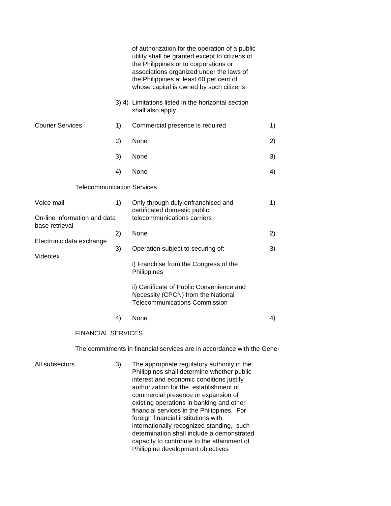|                                                |    | of authorization for the operation of a public<br>utility shall be granted except to citizens of<br>the Philippines or to corporations or<br>associations organized under the laws of<br>the Philippines at least 60 per cent of<br>whose capital is owned by such citizens                                                                                                                                                                                                                       |    |
|------------------------------------------------|----|---------------------------------------------------------------------------------------------------------------------------------------------------------------------------------------------------------------------------------------------------------------------------------------------------------------------------------------------------------------------------------------------------------------------------------------------------------------------------------------------------|----|
|                                                |    | 3),4) Limitations listed in the horizontal section<br>shall also apply                                                                                                                                                                                                                                                                                                                                                                                                                            |    |
| <b>Courier Services</b>                        | 1) | Commercial presence is required                                                                                                                                                                                                                                                                                                                                                                                                                                                                   | 1) |
|                                                | 2) | None                                                                                                                                                                                                                                                                                                                                                                                                                                                                                              | 2) |
|                                                | 3) | None                                                                                                                                                                                                                                                                                                                                                                                                                                                                                              | 3) |
|                                                | 4) | None                                                                                                                                                                                                                                                                                                                                                                                                                                                                                              | 4) |
| <b>Telecommunication Services</b>              |    |                                                                                                                                                                                                                                                                                                                                                                                                                                                                                                   |    |
| Voice mail                                     | 1) | Only through duly enfranchised and<br>certificated domestic public                                                                                                                                                                                                                                                                                                                                                                                                                                | 1) |
| On-line information and data<br>base retrieval |    | telecommunications carriers                                                                                                                                                                                                                                                                                                                                                                                                                                                                       |    |
|                                                | 2) | None                                                                                                                                                                                                                                                                                                                                                                                                                                                                                              | 2) |
| Electronic data exchange                       | 3) | Operation subject to securing of:                                                                                                                                                                                                                                                                                                                                                                                                                                                                 | 3) |
| Videotex                                       |    | i) Franchise from the Congress of the<br>Philippines                                                                                                                                                                                                                                                                                                                                                                                                                                              |    |
|                                                |    | ii) Certificate of Public Convenience and<br>Necessity (CPCN) from the National<br><b>Telecommunications Commission</b>                                                                                                                                                                                                                                                                                                                                                                           |    |
|                                                | 4) | None                                                                                                                                                                                                                                                                                                                                                                                                                                                                                              | 4) |
| <b>FINANCIAL SERVICES</b>                      |    |                                                                                                                                                                                                                                                                                                                                                                                                                                                                                                   |    |
|                                                |    | The commitments in financial services are in accordance with the Gener                                                                                                                                                                                                                                                                                                                                                                                                                            |    |
| All subsectors                                 | 3) | The appropriate regulatory authority in the<br>Philippines shall determine whether public<br>interest and economic conditions justify<br>authorization for the establishment of<br>commercial presence or expansion of<br>existing operations in banking and other<br>financial services in the Philippines. For<br>foreign financial institutions with<br>internationally recognized standing, such<br>determination shall include a demonstrated<br>capacity to contribute to the attainment of |    |

Philippine development objectives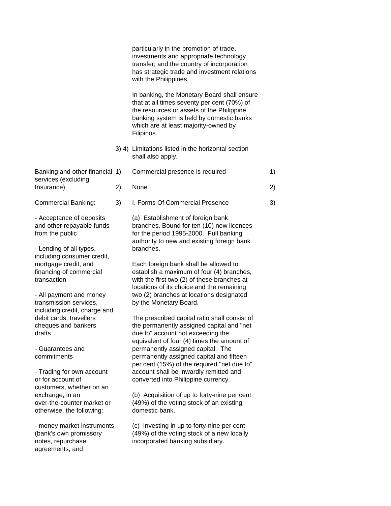|                                                                                                     |    | particularly in the promotion of trade,<br>investments and appropriate technology<br>transfer; and the country of incorporation<br>has strategic trade and investment relations<br>with the Philippines.                                  |    |
|-----------------------------------------------------------------------------------------------------|----|-------------------------------------------------------------------------------------------------------------------------------------------------------------------------------------------------------------------------------------------|----|
|                                                                                                     |    | In banking, the Monetary Board shall ensure<br>that at all times seventy per cent (70%) of<br>the resources or assets of the Philippine<br>banking system is held by domestic banks<br>which are at least majority-owned by<br>Filipinos. |    |
|                                                                                                     |    | 3),4) Limitations listed in the horizontal section<br>shall also apply.                                                                                                                                                                   |    |
| Banking and other financial 1)                                                                      |    | Commercial presence is required                                                                                                                                                                                                           | 1) |
| services (excluding<br>Insurance)                                                                   | 2) | None                                                                                                                                                                                                                                      | 2) |
| <b>Commercial Banking:</b>                                                                          | 3) | I. Forms Of Commercial Presence                                                                                                                                                                                                           | 3) |
| - Acceptance of deposits<br>and other repayable funds<br>from the public<br>- Lending of all types, |    | (a) Establishment of foreign bank<br>branches. Bound for ten (10) new licences<br>for the period 1995-2000. Full banking<br>authority to new and existing foreign bank<br>branches.                                                       |    |
| including consumer credit,<br>mortgage credit, and<br>financing of commercial<br>transaction        |    | Each foreign bank shall be allowed to<br>establish a maximum of four (4) branches,<br>with the first two (2) of these branches at<br>locations of its choice and the remaining                                                            |    |
| - All payment and money<br>transmission services,                                                   |    | two (2) branches at locations designated<br>by the Monetary Board.                                                                                                                                                                        |    |
| including credit, charge and<br>debit cards, travellers<br>cheques and bankers<br>drafts            |    | The prescribed capital ratio shall consist of<br>the permanently assigned capital and "net<br>due to" account not exceeding the<br>equivalent of four (4) times the amount of                                                             |    |
| - Guarantees and<br>commitments                                                                     |    | permanently assigned capital. The<br>permanently assigned capital and fifteen<br>per cent (15%) of the required "net due to"                                                                                                              |    |
| - Trading for own account<br>or for account of<br>customers, whether on an                          |    | account shall be inwardly remitted and<br>converted into Philippine currency.                                                                                                                                                             |    |
| exchange, in an<br>over-the-counter market or<br>otherwise, the following:                          |    | (b) Acquisition of up to forty-nine per cent<br>(49%) of the voting stock of an existing<br>domestic bank.                                                                                                                                |    |
| - money market instruments<br>(bank's own promissory<br>notes, repurchase<br>agreements, and        |    | (c) Investing in up to forty-nine per cent<br>(49%) of the voting stock of a new locally<br>incorporated banking subsidiary.                                                                                                              |    |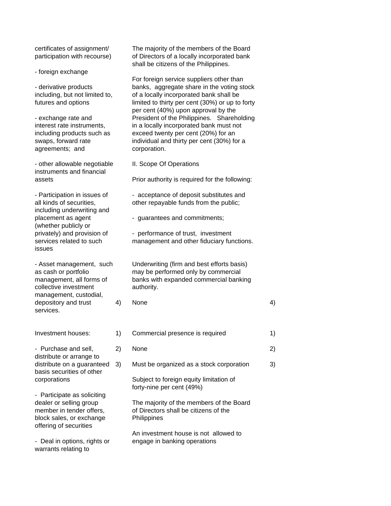- foreign exchange

agreements; and corporation.

- other allowable negotiable II. Scope Of Operations instruments and financial

including underwriting and (whether publicly or issues

collective investment authority. management, custodial, services.

Investment houses: 1)

- Purchase and sell,  $2)$ distribute or arrange to distribute on a guaranteed 3) basis securities of other corporations **Subset** 

- Participate as soliciting dealer or selling group member in tender offers, block sales, or exchange offering of securities

- Deal in options, rights or engage in banking operations warrants relating to

certificates of assignment/ The majority of the members of the Board participation with recourse) of Directors of a locally incorporated bank shall be citizens of the Philippines.

For foreign service suppliers other than - derivative products banks, aggregate share in the voting stock including, but not limited to, of a locally incorporated bank shall be futures and options limited to thirty per cent (30%) or up to forty per cent (40%) upon approval by the - exchange rate and **President of the Philippines.** Shareholding interest rate instruments, in a locally incorporated bank must not including products such as exceed twenty per cent (20%) for an swaps, forward rate individual and thirty per cent (30%) for a

assets **Prior authority is required for the following:** 

- Participation in issues of - acceptance of deposit substitutes and all kinds of securities, and other repayable funds from the public;

placement as agent  $\qquad \qquad -$  guarantees and commitments;

privately) and provision of - performance of trust, investment services related to such management and other fiduciary functions.

- Asset management, such Underwriting (firm and best efforts basis) as cash or portfolio may be performed only by commercial management, all forms of banks with expanded commercial banking

depository and trust  $4)$  None  $4)$ 

| Commercial presence is required                                                                  | 1) |
|--------------------------------------------------------------------------------------------------|----|
| <b>None</b>                                                                                      | 2) |
| Must be organized as a stock corporation                                                         | 3) |
| Subject to foreign equity limitation of<br>forty-nine per cent (49%)                             |    |
| The majority of the members of the Board<br>of Directors shall be citizens of the<br>Philippines |    |
| An investment house is not allowed to<br>ongogo in honking operations                            |    |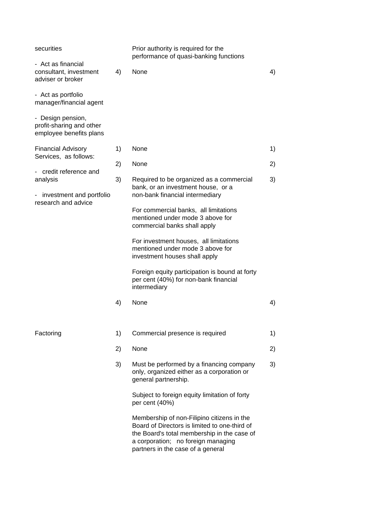| securities                                                               |    | Prior authority is required for the<br>performance of quasi-banking functions                                                                                                                                         |    |
|--------------------------------------------------------------------------|----|-----------------------------------------------------------------------------------------------------------------------------------------------------------------------------------------------------------------------|----|
| - Act as financial<br>consultant, investment<br>adviser or broker        | 4) | None                                                                                                                                                                                                                  | 4) |
| - Act as portfolio<br>manager/financial agent                            |    |                                                                                                                                                                                                                       |    |
| - Design pension,<br>profit-sharing and other<br>employee benefits plans |    |                                                                                                                                                                                                                       |    |
| <b>Financial Advisory</b><br>Services, as follows:                       | 1) | None                                                                                                                                                                                                                  | 1) |
| credit reference and                                                     | 2) | None                                                                                                                                                                                                                  | 2) |
| analysis<br>investment and portfolio                                     | 3) | Required to be organized as a commercial<br>bank, or an investment house, or a<br>non-bank financial intermediary                                                                                                     | 3) |
| research and advice                                                      |    | For commercial banks, all limitations<br>mentioned under mode 3 above for<br>commercial banks shall apply                                                                                                             |    |
|                                                                          |    | For investment houses, all limitations<br>mentioned under mode 3 above for<br>investment houses shall apply                                                                                                           |    |
|                                                                          |    | Foreign equity participation is bound at forty<br>per cent (40%) for non-bank financial<br>intermediary                                                                                                               |    |
|                                                                          | 4) | None                                                                                                                                                                                                                  | 4) |
| Factoring                                                                | 1) | Commercial presence is required                                                                                                                                                                                       | 1) |
|                                                                          | 2) | None                                                                                                                                                                                                                  | 2) |
|                                                                          | 3) | Must be performed by a financing company<br>only, organized either as a corporation or<br>general partnership.                                                                                                        | 3) |
|                                                                          |    | Subject to foreign equity limitation of forty<br>per cent (40%)                                                                                                                                                       |    |
|                                                                          |    | Membership of non-Filipino citizens in the<br>Board of Directors is limited to one-third of<br>the Board's total membership in the case of<br>a corporation; no foreign managing<br>partners in the case of a general |    |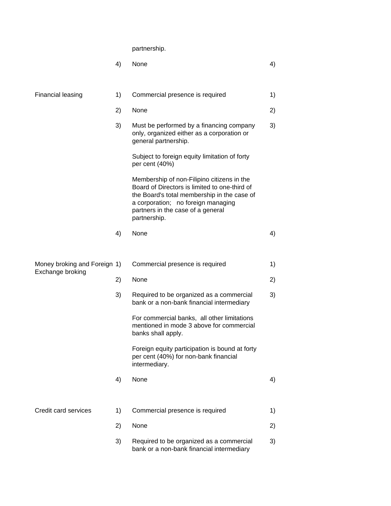partnership.

|                                                  | 4) | None                                                                                                                                                                                                                                  | 4) |
|--------------------------------------------------|----|---------------------------------------------------------------------------------------------------------------------------------------------------------------------------------------------------------------------------------------|----|
|                                                  |    |                                                                                                                                                                                                                                       |    |
| Financial leasing                                | 1) | Commercial presence is required                                                                                                                                                                                                       | 1) |
|                                                  | 2) | None                                                                                                                                                                                                                                  | 2) |
|                                                  | 3) | Must be performed by a financing company<br>only, organized either as a corporation or<br>general partnership.                                                                                                                        | 3) |
|                                                  |    | Subject to foreign equity limitation of forty<br>per cent (40%)                                                                                                                                                                       |    |
|                                                  |    | Membership of non-Filipino citizens in the<br>Board of Directors is limited to one-third of<br>the Board's total membership in the case of<br>a corporation; no foreign managing<br>partners in the case of a general<br>partnership. |    |
|                                                  | 4) | None                                                                                                                                                                                                                                  | 4) |
|                                                  |    |                                                                                                                                                                                                                                       |    |
| Money broking and Foreign 1)<br>Exchange broking |    | Commercial presence is required                                                                                                                                                                                                       | 1) |
|                                                  | 2) | None                                                                                                                                                                                                                                  | 2) |
|                                                  | 3) | Required to be organized as a commercial<br>bank or a non-bank financial intermediary                                                                                                                                                 | 3) |
|                                                  |    | For commercial banks, all other limitations<br>mentioned in mode 3 above for commercial<br>banks shall apply.                                                                                                                         |    |
|                                                  |    | Foreign equity participation is bound at forty<br>per cent (40%) for non-bank financial<br>intermediary.                                                                                                                              |    |
|                                                  | 4) | None                                                                                                                                                                                                                                  | 4) |
| Credit card services                             | 1) | Commercial presence is required                                                                                                                                                                                                       | 1) |
|                                                  |    |                                                                                                                                                                                                                                       |    |
|                                                  | 2) | None                                                                                                                                                                                                                                  | 2) |
|                                                  | 3) | Required to be organized as a commercial<br>bank or a non-bank financial intermediary                                                                                                                                                 | 3) |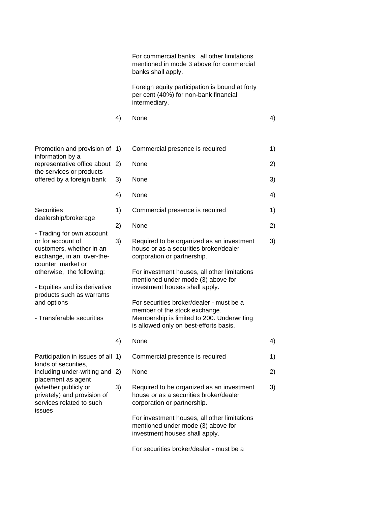For commercial banks, all other limitations mentioned in mode 3 above for commercial banks shall apply.

Foreign equity participation is bound at forty per cent (40%) for non-bank financial intermediary.

- 4) None 4)
- Promotion and provision of 1) Commercial presence is required 1) information by a the services or products
- dealership/brokerage
- Trading for own account counter market or
- products such as warrants
- 

kinds of securities,

placement as agent

issues

representative office about 2) None 2012 2013 offered by a foreign bank 3) None 30 and 30 and 30 and 30 and 30 and 30 and 30 and 30 and 30 and 30 and 30 and 30 and 30 and 30 and 30 and 30 and 30 and 30 and 30 and 30 and 30 and 30 and 30 and 30 and 30 and 30 and 30 and 4) None 4) Securities 1) Commercial presence is required 1) 1 2) None 2) or for account of 3) Required to be organized as an investment 3) customers, whether in an house or as a securities broker/dealer exchange, in an over-the- corporation or partnership. otherwise, the following: For investment houses, all other limitations mentioned under mode (3) above for - Equities and its derivative investment houses shall apply. and options For securities broker/dealer - must be a member of the stock exchange. - Transferable securities Membership is limited to 200. Underwriting is allowed only on best-efforts basis. 4) None 4) Participation in issues of all 1) Commercial presence is required 1) including under-writing and 2) None 20 20 (whether publicly or 3) Required to be organized as an investment 3) privately) and provision of house or as a securities broker/dealer services related to such corporation or partnership. For investment houses, all other limitations mentioned under mode (3) above for investment houses shall apply.

For securities broker/dealer - must be a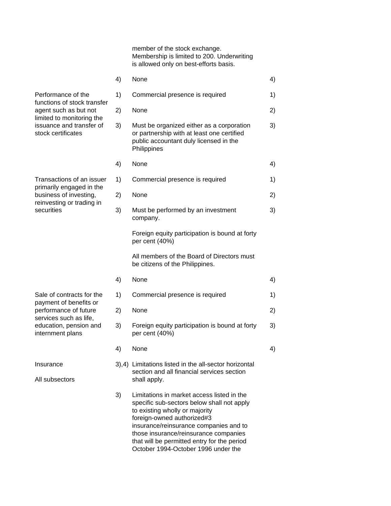member of the stock exchange. Membership is limited to 200. Underwriting is allowed only on best-efforts basis.

|                                                                                                                                                           | 4) | None                                                                                                                                                                                                                                                                                                                              | 4) |
|-----------------------------------------------------------------------------------------------------------------------------------------------------------|----|-----------------------------------------------------------------------------------------------------------------------------------------------------------------------------------------------------------------------------------------------------------------------------------------------------------------------------------|----|
| Performance of the<br>functions of stock transfer<br>agent such as but not<br>limited to monitoring the<br>issuance and transfer of<br>stock certificates | 1) | Commercial presence is required                                                                                                                                                                                                                                                                                                   | 1) |
|                                                                                                                                                           | 2) | None                                                                                                                                                                                                                                                                                                                              | 2) |
|                                                                                                                                                           | 3) | Must be organized either as a corporation<br>or partnership with at least one certified<br>public accountant duly licensed in the<br>Philippines                                                                                                                                                                                  | 3) |
|                                                                                                                                                           | 4) | None                                                                                                                                                                                                                                                                                                                              | 4) |
| Transactions of an issuer                                                                                                                                 | 1) | Commercial presence is required                                                                                                                                                                                                                                                                                                   | 1) |
| primarily engaged in the<br>business of investing,                                                                                                        | 2) | None                                                                                                                                                                                                                                                                                                                              | 2) |
| reinvesting or trading in<br>securities                                                                                                                   | 3) | Must be performed by an investment<br>company.                                                                                                                                                                                                                                                                                    | 3) |
|                                                                                                                                                           |    | Foreign equity participation is bound at forty<br>per cent (40%)                                                                                                                                                                                                                                                                  |    |
|                                                                                                                                                           |    | All members of the Board of Directors must<br>be citizens of the Philippines.                                                                                                                                                                                                                                                     |    |
|                                                                                                                                                           | 4) | None                                                                                                                                                                                                                                                                                                                              | 4) |
| Sale of contracts for the<br>payment of benefits or                                                                                                       | 1) | Commercial presence is required                                                                                                                                                                                                                                                                                                   | 1) |
| performance of future<br>services such as life,                                                                                                           | 2) | None                                                                                                                                                                                                                                                                                                                              | 2) |
| education, pension and<br>internment plans                                                                                                                | 3) | Foreign equity participation is bound at forty<br>per cent (40%)                                                                                                                                                                                                                                                                  | 3) |
|                                                                                                                                                           | 4) | None                                                                                                                                                                                                                                                                                                                              | 4) |
| Insurance<br>All subsectors                                                                                                                               |    | 3),4) Limitations listed in the all-sector horizontal<br>section and all financial services section<br>shall apply.                                                                                                                                                                                                               |    |
|                                                                                                                                                           | 3) | Limitations in market access listed in the<br>specific sub-sectors below shall not apply<br>to existing wholly or majority<br>foreign-owned authorized#3<br>insurance/reinsurance companies and to<br>those insurance/reinsurance companies<br>that will be permitted entry for the period<br>October 1994-October 1996 under the |    |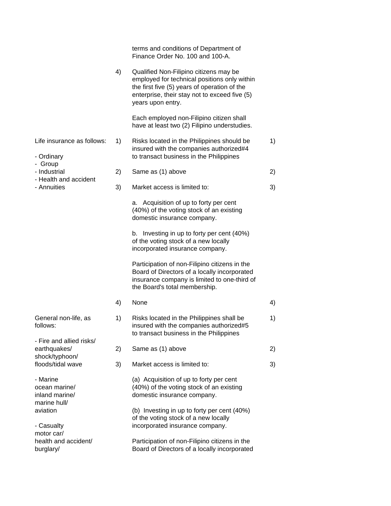|                                                             |    | terms and conditions of Department of<br>Finance Order No. 100 and 100-A.                                                                                                                                    |    |
|-------------------------------------------------------------|----|--------------------------------------------------------------------------------------------------------------------------------------------------------------------------------------------------------------|----|
|                                                             | 4) | Qualified Non-Filipino citizens may be<br>employed for technical positions only within<br>the first five (5) years of operation of the<br>enterprise, their stay not to exceed five (5)<br>years upon entry. |    |
|                                                             |    | Each employed non-Filipino citizen shall<br>have at least two (2) Filipino understudies.                                                                                                                     |    |
| Life insurance as follows:<br>- Ordinary                    | 1) | Risks located in the Philippines should be<br>insured with the companies authorized#4<br>to transact business in the Philippines                                                                             | 1) |
| - Group<br>- Industrial                                     | 2) | Same as (1) above                                                                                                                                                                                            | 2) |
| - Health and accident<br>- Annuities                        | 3) | Market access is limited to:                                                                                                                                                                                 | 3) |
|                                                             |    | a. Acquisition of up to forty per cent<br>(40%) of the voting stock of an existing<br>domestic insurance company.                                                                                            |    |
|                                                             |    | b. Investing in up to forty per cent (40%)<br>of the voting stock of a new locally<br>incorporated insurance company.                                                                                        |    |
|                                                             |    | Participation of non-Filipino citizens in the<br>Board of Directors of a locally incorporated<br>insurance company is limited to one-third of<br>the Board's total membership.                               |    |
|                                                             | 4) | None                                                                                                                                                                                                         | 4) |
| General non-life, as<br>follows:                            | 1) | Risks located in the Philippines shall be<br>insured with the companies authorized#5<br>to transact business in the Philippines                                                                              | 1) |
| - Fire and allied risks/<br>earthquakes/                    | 2) | Same as (1) above                                                                                                                                                                                            | 2) |
| shock/typhoon/<br>floods/tidal wave                         | 3) | Market access is limited to:                                                                                                                                                                                 | 3) |
| - Marine<br>ocean marine/<br>inland marine/<br>marine hull/ |    | (a) Acquisition of up to forty per cent<br>(40%) of the voting stock of an existing<br>domestic insurance company.                                                                                           |    |
| aviation<br>- Casualty                                      |    | (b) Investing in up to forty per cent (40%)<br>of the voting stock of a new locally<br>incorporated insurance company.                                                                                       |    |
| motor car/<br>health and accident/<br>burglary/             |    | Participation of non-Filipino citizens in the<br>Board of Directors of a locally incorporated                                                                                                                |    |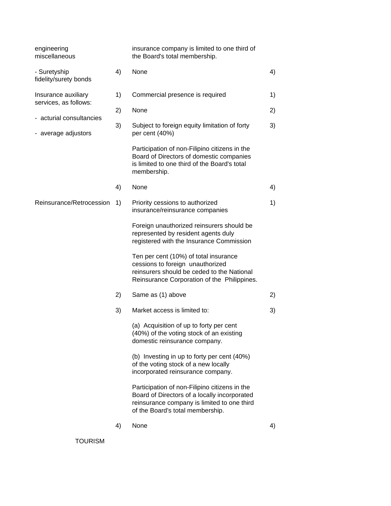| engineering<br>miscellaneous                 |    | insurance company is limited to one third of<br>the Board's total membership.                                                                                                    |    |
|----------------------------------------------|----|----------------------------------------------------------------------------------------------------------------------------------------------------------------------------------|----|
| - Suretyship<br>fidelity/surety bonds        | 4) | None                                                                                                                                                                             | 4) |
| Insurance auxiliary<br>services, as follows: | 1) | Commercial presence is required                                                                                                                                                  | 1) |
| - acturial consultancies                     | 2) | None                                                                                                                                                                             | 2) |
| - average adjustors                          | 3) | Subject to foreign equity limitation of forty<br>per cent (40%)                                                                                                                  | 3) |
|                                              |    | Participation of non-Filipino citizens in the<br>Board of Directors of domestic companies<br>is limited to one third of the Board's total<br>membership.                         |    |
|                                              | 4) | None                                                                                                                                                                             | 4) |
| Reinsurance/Retrocession                     | 1) | Priority cessions to authorized<br>insurance/reinsurance companies                                                                                                               | 1) |
|                                              |    | Foreign unauthorized reinsurers should be<br>represented by resident agents duly<br>registered with the Insurance Commission                                                     |    |
|                                              |    | Ten per cent (10%) of total insurance<br>cessions to foreign unauthorized<br>reinsurers should be ceded to the National<br>Reinsurance Corporation of the Philippines.           |    |
|                                              | 2) | Same as (1) above                                                                                                                                                                | 2) |
|                                              | 3) | Market access is limited to:                                                                                                                                                     | 3) |
|                                              |    | (a) Acquisition of up to forty per cent<br>(40%) of the voting stock of an existing<br>domestic reinsurance company.                                                             |    |
|                                              |    | (b) Investing in up to forty per cent (40%)<br>of the voting stock of a new locally<br>incorporated reinsurance company.                                                         |    |
|                                              |    | Participation of non-Filipino citizens in the<br>Board of Directors of a locally incorporated<br>reinsurance company is limited to one third<br>of the Board's total membership. |    |
|                                              | 4) | None                                                                                                                                                                             | 4) |
| <b>TOURISM</b>                               |    |                                                                                                                                                                                  |    |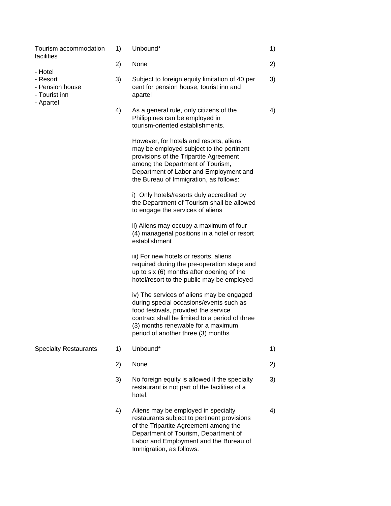| Tourism accommodation<br>facilities                                  | 1) | Unbound*                                                                                                                                                                                                                                                   | 1) |
|----------------------------------------------------------------------|----|------------------------------------------------------------------------------------------------------------------------------------------------------------------------------------------------------------------------------------------------------------|----|
|                                                                      | 2) | None                                                                                                                                                                                                                                                       | 2) |
| - Hotel<br>- Resort<br>- Pension house<br>- Tourist inn<br>- Apartel | 3) | Subject to foreign equity limitation of 40 per<br>cent for pension house, tourist inn and<br>apartel                                                                                                                                                       | 3) |
|                                                                      | 4) | As a general rule, only citizens of the<br>Philippines can be employed in<br>tourism-oriented establishments.                                                                                                                                              | 4) |
|                                                                      |    | However, for hotels and resorts, aliens<br>may be employed subject to the pertinent<br>provisions of the Tripartite Agreement<br>among the Department of Tourism,<br>Department of Labor and Employment and<br>the Bureau of Immigration, as follows:      |    |
|                                                                      |    | i) Only hotels/resorts duly accredited by<br>the Department of Tourism shall be allowed<br>to engage the services of aliens                                                                                                                                |    |
|                                                                      |    | ii) Aliens may occupy a maximum of four<br>(4) managerial positions in a hotel or resort<br>establishment                                                                                                                                                  |    |
|                                                                      |    | iii) For new hotels or resorts, aliens<br>required during the pre-operation stage and<br>up to six (6) months after opening of the<br>hotel/resort to the public may be employed                                                                           |    |
|                                                                      |    | iv) The services of aliens may be engaged<br>during special occasions/events such as<br>food festivals, provided the service<br>contract shall be limited to a period of three<br>(3) months renewable for a maximum<br>period of another three (3) months |    |
| <b>Specialty Restaurants</b>                                         | 1) | Unbound*                                                                                                                                                                                                                                                   | 1) |
|                                                                      | 2) | None                                                                                                                                                                                                                                                       | 2) |
|                                                                      | 3) | No foreign equity is allowed if the specialty<br>restaurant is not part of the facilities of a<br>hotel.                                                                                                                                                   | 3) |
|                                                                      | 4) | Aliens may be employed in specialty<br>restaurants subject to pertinent provisions<br>of the Tripartite Agreement among the<br>Department of Tourism, Department of<br>Labor and Employment and the Bureau of<br>Immigration, as follows:                  | 4) |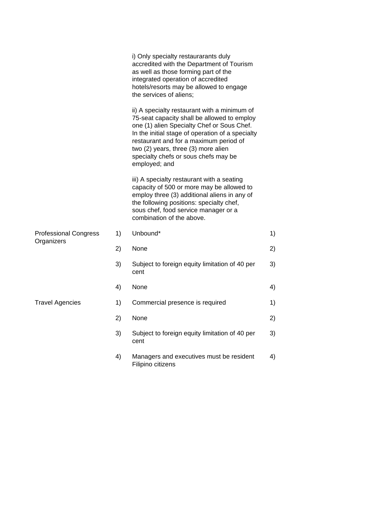|                                            |    | i) Only specialty restaurarants duly<br>accredited with the Department of Tourism<br>as well as those forming part of the<br>integrated operation of accredited<br>hotels/resorts may be allowed to engage<br>the services of aliens;                                                                                                   |    |
|--------------------------------------------|----|-----------------------------------------------------------------------------------------------------------------------------------------------------------------------------------------------------------------------------------------------------------------------------------------------------------------------------------------|----|
|                                            |    | ii) A specialty restaurant with a minimum of<br>75-seat capacity shall be allowed to employ<br>one (1) alien Specialty Chef or Sous Chef.<br>In the initial stage of operation of a specialty<br>restaurant and for a maximum period of<br>two (2) years, three (3) more alien<br>specialty chefs or sous chefs may be<br>employed; and |    |
|                                            |    | iii) A specialty restaurant with a seating<br>capacity of 500 or more may be allowed to<br>employ three (3) additional aliens in any of<br>the following positions: specialty chef,<br>sous chef, food service manager or a<br>combination of the above.                                                                                |    |
| <b>Professional Congress</b><br>Organizers | 1) | Unbound*                                                                                                                                                                                                                                                                                                                                | 1) |
|                                            | 2) | None                                                                                                                                                                                                                                                                                                                                    | 2) |
|                                            | 3) | Subject to foreign equity limitation of 40 per<br>cent                                                                                                                                                                                                                                                                                  | 3) |
|                                            | 4) | None                                                                                                                                                                                                                                                                                                                                    | 4) |
| <b>Travel Agencies</b>                     | 1) | Commercial presence is required                                                                                                                                                                                                                                                                                                         | 1) |
|                                            | 2) | None                                                                                                                                                                                                                                                                                                                                    | 2) |
|                                            | 3) | Subject to foreign equity limitation of 40 per<br>cent                                                                                                                                                                                                                                                                                  | 3) |
|                                            | 4) | Managers and executives must be resident<br>Filipino citizens                                                                                                                                                                                                                                                                           | 4) |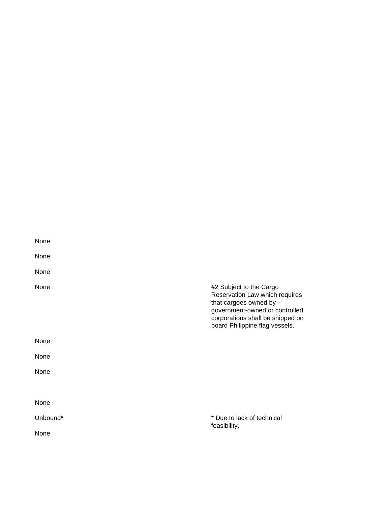| None     |                                                                                                                                                                                            |
|----------|--------------------------------------------------------------------------------------------------------------------------------------------------------------------------------------------|
| None     |                                                                                                                                                                                            |
| None     |                                                                                                                                                                                            |
| None     | #2 Subject to the Cargo<br>Reservation Law which requires<br>that cargoes owned by<br>government-owned or controlled<br>corporations shall be shipped on<br>board Philippine flag vessels. |
| None     |                                                                                                                                                                                            |
| None     |                                                                                                                                                                                            |
| None     |                                                                                                                                                                                            |
|          |                                                                                                                                                                                            |
| None     |                                                                                                                                                                                            |
| Unbound* | * Due to lack of technical<br>feasibility.                                                                                                                                                 |
| None     |                                                                                                                                                                                            |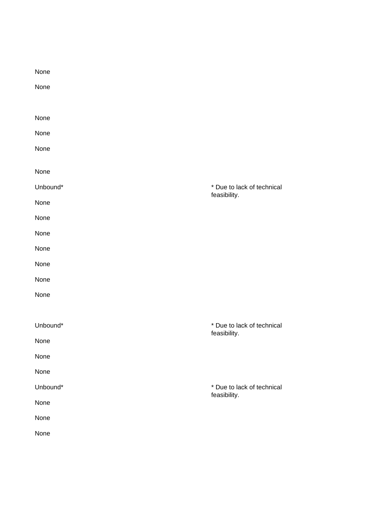| None     |                                            |
|----------|--------------------------------------------|
| None     |                                            |
|          |                                            |
| None     |                                            |
| None     |                                            |
| None     |                                            |
| None     |                                            |
| Unbound* | * Due to lack of technical                 |
| None     | feasibility.                               |
| None     |                                            |
| None     |                                            |
| None     |                                            |
| None     |                                            |
| None     |                                            |
| None     |                                            |
|          |                                            |
| Unbound* | * Due to lack of technical<br>feasibility. |
| None     |                                            |
| None     |                                            |
| None     |                                            |
| Unbound* | * Due to lack of technical<br>feasibility. |
| None     |                                            |
| None     |                                            |
| None     |                                            |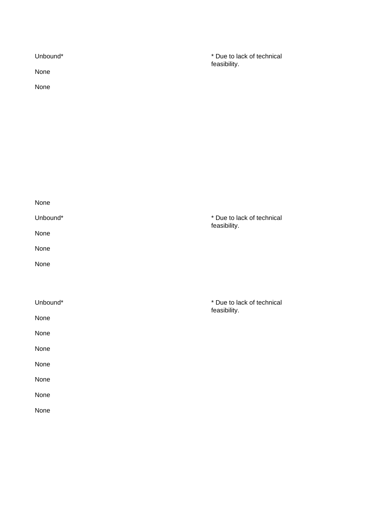| Unbound*<br>None<br>None | * Due to lack of technical<br>feasibility. |
|--------------------------|--------------------------------------------|
|                          |                                            |
| None                     |                                            |
| Unbound*                 | * Due to lack of technical<br>feasibility. |
| None                     |                                            |
| None                     |                                            |
| None                     |                                            |
|                          |                                            |
| Unbound*                 | * Due to lack of technical<br>feasibility. |
| None                     |                                            |
| None                     |                                            |
| None                     |                                            |
| None                     |                                            |
| None                     |                                            |
| None                     |                                            |
| None                     |                                            |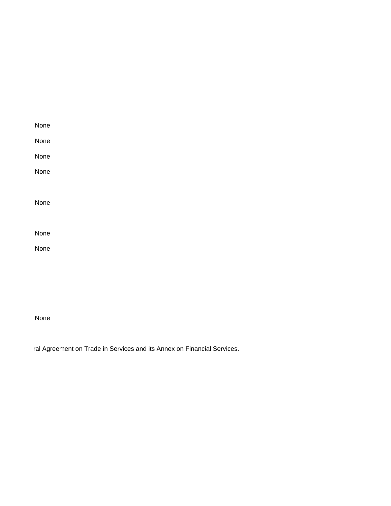| None |  |  |  |
|------|--|--|--|
| None |  |  |  |
| None |  |  |  |
| None |  |  |  |
|      |  |  |  |
| None |  |  |  |
|      |  |  |  |
| None |  |  |  |
| None |  |  |  |
|      |  |  |  |
|      |  |  |  |

ral Agreement on Trade in Services and its Annex on Financial Services.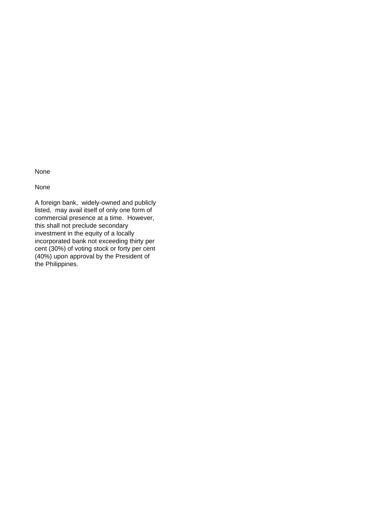None

A foreign bank, widely-owned and publicly listed, may avail itself of only one form of commercial presence at a time. However, this shall not preclude secondary investment in the equity of a locally incorporated bank not exceeding thirty per cent (30%) of voting stock or forty per cent (40%) upon approval by the President of the Philippines.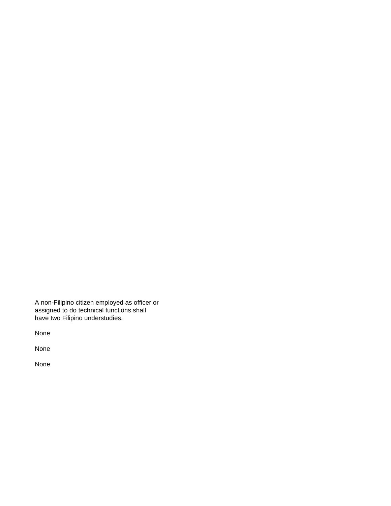A non-Filipino citizen employed as officer or assigned to do technical functions shall have two Filipino understudies.

None

None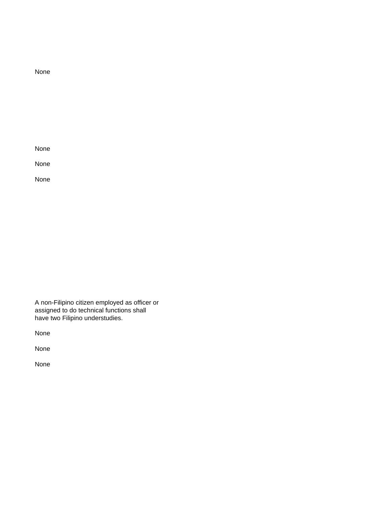None

None

None

A non-Filipino citizen employed as officer or assigned to do technical functions shall have two Filipino understudies.

None

None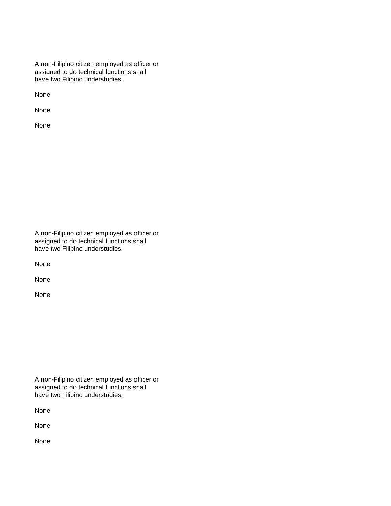A non-Filipino citizen employed as officer or assigned to do technical functions shall have two Filipino understudies.

None

None

None

A non-Filipino citizen employed as officer or assigned to do technical functions shall have two Filipino understudies.

None

None

None

A non-Filipino citizen employed as officer or assigned to do technical functions shall have two Filipino understudies.

None

None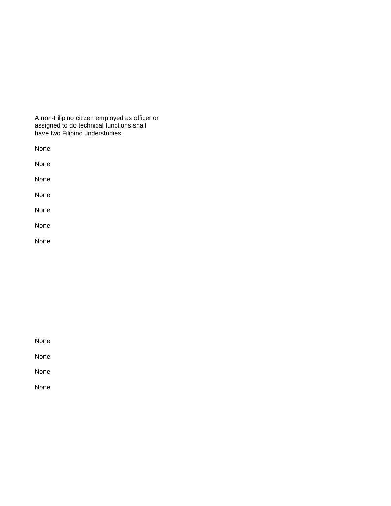A non-Filipino citizen employed as officer or assigned to do technical functions shall have two Filipino understudies.

None None None None None None None

None

None

None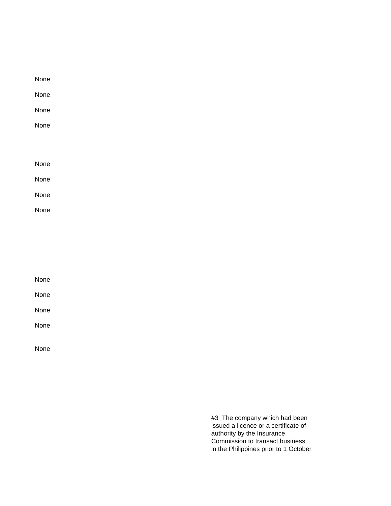| None |  |  |  |
|------|--|--|--|
| None |  |  |  |
| None |  |  |  |
| None |  |  |  |
|      |  |  |  |
|      |  |  |  |
| None |  |  |  |
| None |  |  |  |
| None |  |  |  |
| None |  |  |  |

| None |  |  |  |
|------|--|--|--|
| None |  |  |  |
| None |  |  |  |
| None |  |  |  |
|      |  |  |  |

#3 The company which had been issued a licence or a certificate of authority by the Insurance Commission to transact business in the Philippines prior to 1 October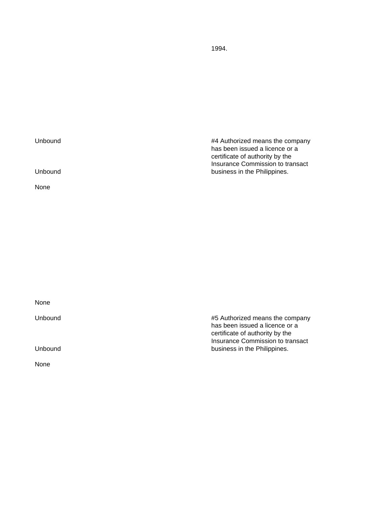1994.

| Unbound | #4 Authorized means the company<br>has been issued a licence or a<br>certificate of authority by the<br>Insurance Commission to transact |
|---------|------------------------------------------------------------------------------------------------------------------------------------------|
| Unbound | business in the Philippines.                                                                                                             |
| None    |                                                                                                                                          |

None Unbound #5 Authorized means the company has been issued a licence or a certificate of authority by the Insurance Commission to transact Unbound **business** in the Philippines.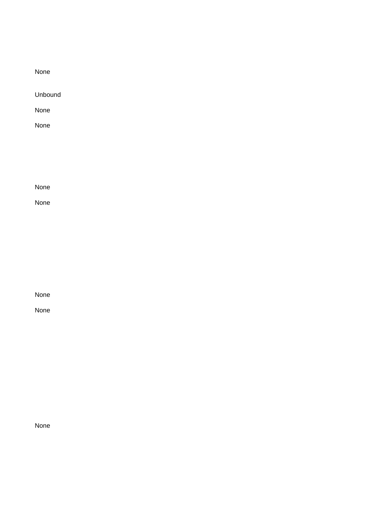Unbound

None

None

None

None

None

None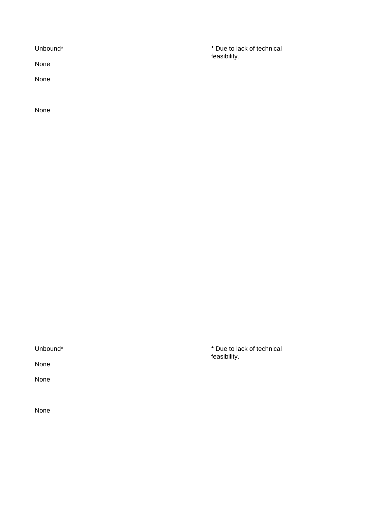None

None

Unbound\* **\*** Due to lack of technical feasibility.

None

None

None

Unbound\* **\*** Due to lack of technical feasibility.